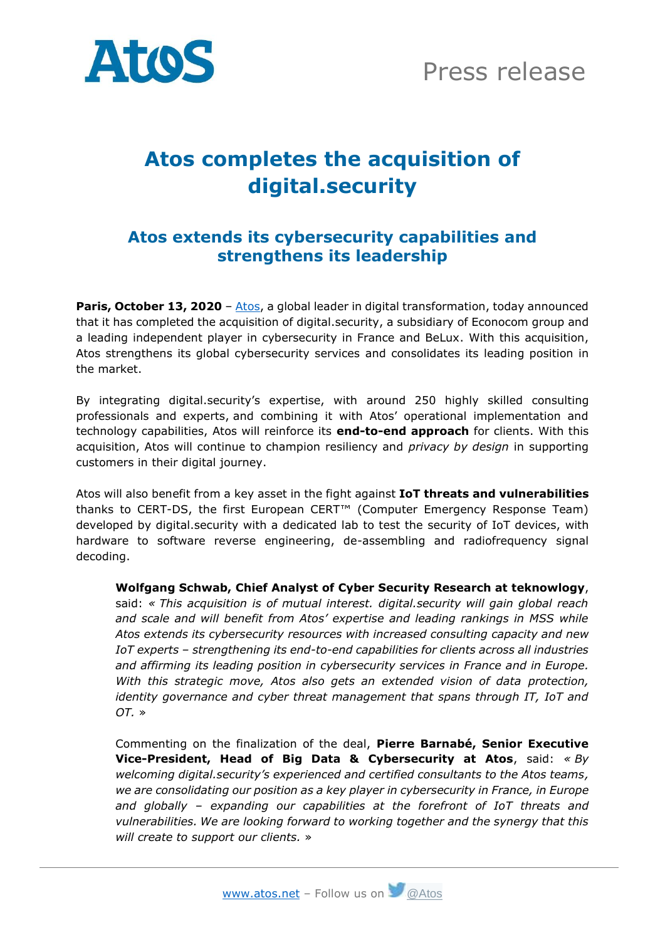



## **Atos completes the acquisition of digital.security**

## **Atos extends its cybersecurity capabilities and strengthens its leadership**

**Paris, October 13, 2020** – [Atos,](https://atos.net/) a global leader in digital transformation, today announced that it has completed the acquisition of digital.security, a subsidiary of Econocom group and a leading independent player in cybersecurity in France and BeLux. With this acquisition, Atos strengthens its global cybersecurity services and consolidates its leading position in the market.

By integrating digital.security's expertise, with around 250 highly skilled consulting professionals and experts, and combining it with Atos' operational implementation and technology capabilities, Atos will reinforce its **end-to-end approach** for clients. With this acquisition, Atos will continue to champion resiliency and *privacy by design* in supporting customers in their digital journey.

Atos will also benefit from a key asset in the fight against **IoT threats and vulnerabilities** thanks to CERT-DS, the first European CERT™ (Computer Emergency Response Team) developed by digital.security with a dedicated lab to test the security of IoT devices, with hardware to software reverse engineering, de-assembling and radiofrequency signal decoding.

**Wolfgang Schwab, Chief Analyst of Cyber Security Research at teknowlogy**, said: *« This acquisition is of mutual interest. digital.security will gain global reach and scale and will benefit from Atos' expertise and leading rankings in MSS while Atos extends its cybersecurity resources with increased consulting capacity and new IoT experts – strengthening its end-to-end capabilities for clients across all industries and affirming its leading position in cybersecurity services in France and in Europe. With this strategic move, Atos also gets an extended vision of data protection, identity governance and cyber threat management that spans through IT, IoT and OT.* »

Commenting on the finalization of the deal, **Pierre Barnabé, Senior Executive Vice-President, Head of Big Data & Cybersecurity at Atos**, said: *« By welcoming digital.security's experienced and certified consultants to the Atos teams, we are consolidating our position as a key player in cybersecurity in France, in Europe and globally – expanding our capabilities at the forefront of IoT threats and vulnerabilities. We are looking forward to working together and the synergy that this will create to support our clients.* »